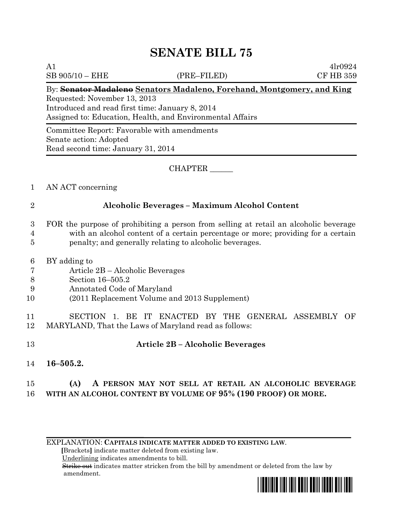# **SENATE BILL 75**

SB 905/10 – EHE (PRE–FILED) CF HB 359

A1  $4lr0924$ 

#### By: **Senator Madaleno Senators Madaleno, Forehand, Montgomery, and King**

Requested: November 13, 2013 Introduced and read first time: January 8, 2014 Assigned to: Education, Health, and Environmental Affairs

Committee Report: Favorable with amendments Senate action: Adopted Read second time: January 31, 2014

#### CHAPTER \_\_\_\_\_\_

- 1 AN ACT concerning
- 

### 2 **Alcoholic Beverages – Maximum Alcohol Content**

- 3 FOR the purpose of prohibiting a person from selling at retail an alcoholic beverage 4 with an alcohol content of a certain percentage or more; providing for a certain 5 penalty; and generally relating to alcoholic beverages.
- 6 BY adding to
- 7 Article 2B Alcoholic Beverages
- 8 Section 16–505.2
- 9 Annotated Code of Maryland
- 10 (2011 Replacement Volume and 2013 Supplement)

11 SECTION 1. BE IT ENACTED BY THE GENERAL ASSEMBLY OF 12 MARYLAND, That the Laws of Maryland read as follows:

## 13 **Article 2B – Alcoholic Beverages**

- 14 **16–505.2.**
- 15 **(A) A PERSON MAY NOT SELL AT RETAIL AN ALCOHOLIC BEVERAGE**  16 **WITH AN ALCOHOL CONTENT BY VOLUME OF 95% (190 PROOF) OR MORE.**

EXPLANATION: **CAPITALS INDICATE MATTER ADDED TO EXISTING LAW**.

 **[**Brackets**]** indicate matter deleted from existing law.

Underlining indicates amendments to bill.

 Strike out indicates matter stricken from the bill by amendment or deleted from the law by amendment.